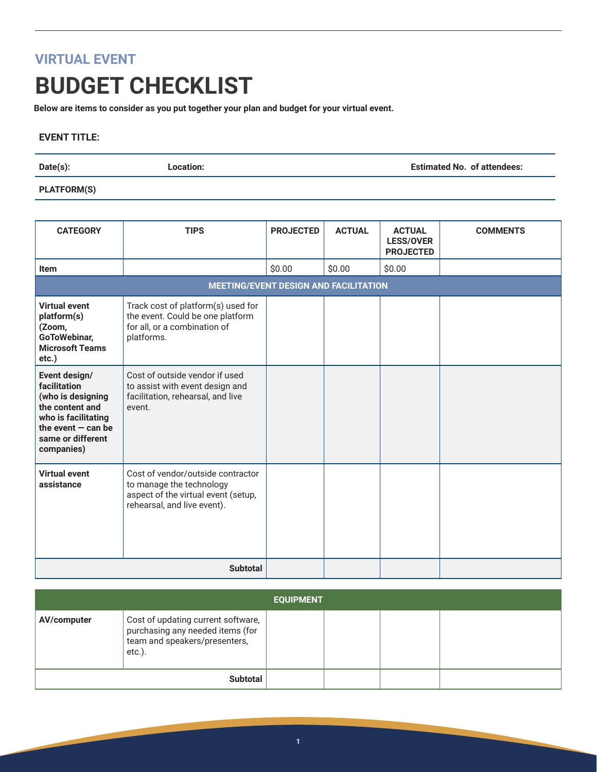## **VIRTUAL EVENT**

## **BUDGET CHECKLIST**

**Below are items to consider as you put together your plan and budget for your virtual event.**

## **EVENT TITLE:**

**Date(s): Location: Estimated No. of attendees:**

## **PLATFORM(S)**

| <b>CATEGORY</b>                                                                                                                                         | <b>TIPS</b>                                                                                                                         | <b>PROJECTED</b> | <b>ACTUAL</b> | <b>ACTUAL</b><br><b>LESS/OVER</b><br><b>PROJECTED</b> | <b>COMMENTS</b> |
|---------------------------------------------------------------------------------------------------------------------------------------------------------|-------------------------------------------------------------------------------------------------------------------------------------|------------------|---------------|-------------------------------------------------------|-----------------|
| <b>Item</b>                                                                                                                                             |                                                                                                                                     | \$0.00           | \$0.00        | \$0.00                                                |                 |
|                                                                                                                                                         | <b>MEETING/EVENT DESIGN AND FACILITATION</b>                                                                                        |                  |               |                                                       |                 |
| <b>Virtual event</b><br>platform(s)<br>(Zoom,<br>GoToWebinar,<br><b>Microsoft Teams</b><br>etc.)                                                        | Track cost of platform(s) used for<br>the event. Could be one platform<br>for all, or a combination of<br>platforms.                |                  |               |                                                       |                 |
| Event design/<br>facilitation<br>(who is designing<br>the content and<br>who is facilitating<br>the event $-$ can be<br>same or different<br>companies) | Cost of outside vendor if used<br>to assist with event design and<br>facilitation, rehearsal, and live<br>event.                    |                  |               |                                                       |                 |
| <b>Virtual event</b><br>assistance                                                                                                                      | Cost of vendor/outside contractor<br>to manage the technology<br>aspect of the virtual event (setup,<br>rehearsal, and live event). |                  |               |                                                       |                 |
|                                                                                                                                                         | <b>Subtotal</b>                                                                                                                     |                  |               |                                                       |                 |

| <b>EQUIPMENT</b> |                                                                                                                   |  |  |  |  |
|------------------|-------------------------------------------------------------------------------------------------------------------|--|--|--|--|
| AV/computer      | Cost of updating current software,<br>purchasing any needed items (for<br>team and speakers/presenters,<br>etc.). |  |  |  |  |
|                  | <b>Subtotal</b>                                                                                                   |  |  |  |  |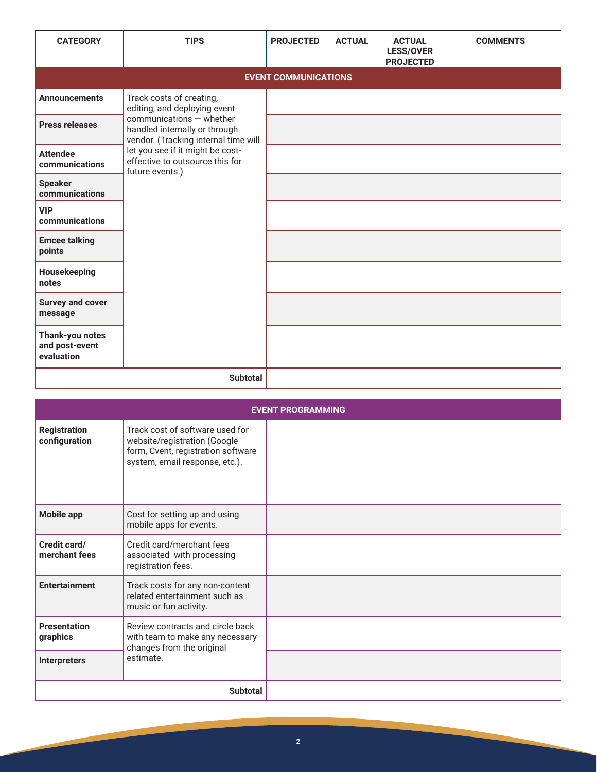| <b>CATEGORY</b>                                 | <b>TIPS</b>                                                                                                                                                   | <b>PROJECTED</b> | <b>ACTUAL</b> | <b>ACTUAL</b><br><b>LESS/OVER</b><br><b>PROJECTED</b> | <b>COMMENTS</b> |  |  |
|-------------------------------------------------|---------------------------------------------------------------------------------------------------------------------------------------------------------------|------------------|---------------|-------------------------------------------------------|-----------------|--|--|
| <b>EVENT COMMUNICATIONS</b>                     |                                                                                                                                                               |                  |               |                                                       |                 |  |  |
| <b>Announcements</b>                            | Track costs of creating,<br>editing, and deploying event<br>communications - whether<br>handled internally or through<br>vendor. (Tracking internal time will |                  |               |                                                       |                 |  |  |
| <b>Press releases</b>                           |                                                                                                                                                               |                  |               |                                                       |                 |  |  |
| <b>Attendee</b><br>communications               | let you see if it might be cost-<br>effective to outsource this for<br>future events.)                                                                        |                  |               |                                                       |                 |  |  |
| <b>Speaker</b><br>communications                |                                                                                                                                                               |                  |               |                                                       |                 |  |  |
| <b>VIP</b><br>communications                    |                                                                                                                                                               |                  |               |                                                       |                 |  |  |
| <b>Emcee talking</b><br>points                  |                                                                                                                                                               |                  |               |                                                       |                 |  |  |
| Housekeeping<br>notes                           |                                                                                                                                                               |                  |               |                                                       |                 |  |  |
| <b>Survey and cover</b><br>message              |                                                                                                                                                               |                  |               |                                                       |                 |  |  |
| Thank-you notes<br>and post-event<br>evaluation |                                                                                                                                                               |                  |               |                                                       |                 |  |  |
|                                                 |                                                                                                                                                               |                  |               |                                                       |                 |  |  |

| <b>EVENT PROGRAMMING</b>                        |                                                                                                                                         |  |  |  |  |  |
|-------------------------------------------------|-----------------------------------------------------------------------------------------------------------------------------------------|--|--|--|--|--|
| <b>Registration</b><br>configuration            | Track cost of software used for<br>website/registration (Google<br>form, Cvent, registration software<br>system, email response, etc.). |  |  |  |  |  |
| <b>Mobile app</b>                               | Cost for setting up and using<br>mobile apps for events.                                                                                |  |  |  |  |  |
| Credit card/<br>merchant fees                   | Credit card/merchant fees<br>associated with processing<br>registration fees.                                                           |  |  |  |  |  |
| <b>Entertainment</b>                            | Track costs for any non-content<br>related entertainment such as<br>music or fun activity.                                              |  |  |  |  |  |
| <b>Presentation</b><br>graphics<br>Interpreters | Review contracts and circle back<br>with team to make any necessary<br>changes from the original<br>estimate.                           |  |  |  |  |  |
|                                                 |                                                                                                                                         |  |  |  |  |  |
|                                                 | <b>Subtotal</b>                                                                                                                         |  |  |  |  |  |